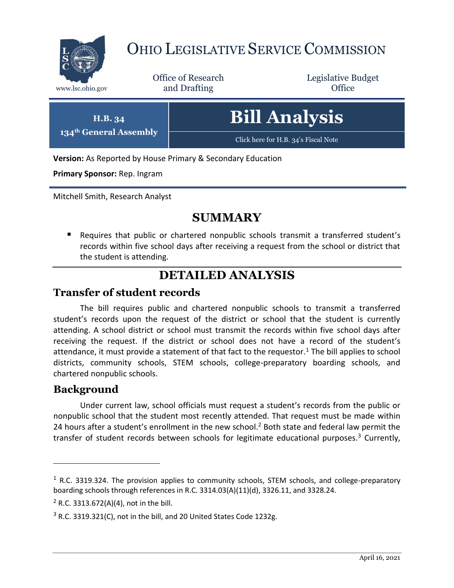

# OHIO LEGISLATIVE SERVICE COMMISSION

Office of Research www.lsc.ohio.gov **and Drafting Office** 

Legislative Budget

| H.B. 34                            | <b>Bill Analysis</b>                 |
|------------------------------------|--------------------------------------|
| 134 <sup>th</sup> General Assembly | Click here for H.B. 34's Fiscal Note |

**Version:** As Reported by House Primary & Secondary Education

**Primary Sponsor:** Rep. Ingram

Mitchell Smith, Research Analyst

## **SUMMARY**

 Requires that public or chartered nonpublic schools transmit a transferred student's records within five school days after receiving a request from the school or district that the student is attending.

## **DETAILED ANALYSIS**

#### **Transfer of student records**

The bill requires public and chartered nonpublic schools to transmit a transferred student's records upon the request of the district or school that the student is currently attending. A school district or school must transmit the records within five school days after receiving the request. If the district or school does not have a record of the student's attendance, it must provide a statement of that fact to the requestor.<sup>1</sup> The bill applies to school districts, community schools, STEM schools, college-preparatory boarding schools, and chartered nonpublic schools.

#### **Background**

 $\overline{a}$ 

Under current law, school officials must request a student's records from the public or nonpublic school that the student most recently attended. That request must be made within 24 hours after a student's enrollment in the new school.<sup>2</sup> Both state and federal law permit the transfer of student records between schools for legitimate educational purposes.<sup>3</sup> Currently,

 $1$  R.C. 3319.324. The provision applies to community schools, STEM schools, and college-preparatory boarding schools through references in R.C. 3314.03(A)(11)(d), 3326.11, and 3328.24.

 $2$  R.C. 3313.672(A)(4), not in the bill.

 $3$  R.C. 3319.321(C), not in the bill, and 20 United States Code 1232g.